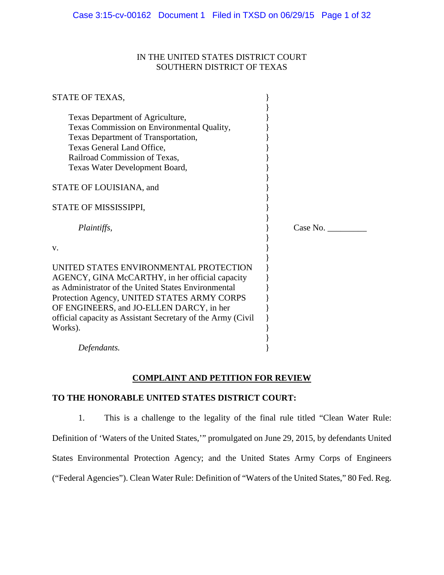# IN THE UNITED STATES DISTRICT COURT SOUTHERN DISTRICT OF TEXAS

| STATE OF TEXAS,                                                                                                                                                                                                                                                                                                       |          |
|-----------------------------------------------------------------------------------------------------------------------------------------------------------------------------------------------------------------------------------------------------------------------------------------------------------------------|----------|
| Texas Department of Agriculture,<br>Texas Commission on Environmental Quality,<br>Texas Department of Transportation,<br>Texas General Land Office,<br>Railroad Commission of Texas,<br>Texas Water Development Board,                                                                                                |          |
| STATE OF LOUISIANA, and                                                                                                                                                                                                                                                                                               |          |
| STATE OF MISSISSIPPI,                                                                                                                                                                                                                                                                                                 |          |
| <i>Plaintiffs,</i>                                                                                                                                                                                                                                                                                                    | Case No. |
| V.                                                                                                                                                                                                                                                                                                                    |          |
| UNITED STATES ENVIRONMENTAL PROTECTION<br>AGENCY, GINA McCARTHY, in her official capacity<br>as Administrator of the United States Environmental<br>Protection Agency, UNITED STATES ARMY CORPS<br>OF ENGINEERS, and JO-ELLEN DARCY, in her<br>official capacity as Assistant Secretary of the Army (Civil<br>Works). |          |
| Defendants.                                                                                                                                                                                                                                                                                                           |          |

# **COMPLAINT AND PETITION FOR REVIEW**

# **TO THE HONORABLE UNITED STATES DISTRICT COURT:**

1. This is a challenge to the legality of the final rule titled "Clean Water Rule: Definition of 'Waters of the United States,'" promulgated on June 29, 2015, by defendants United States Environmental Protection Agency; and the United States Army Corps of Engineers ("Federal Agencies"). Clean Water Rule: Definition of "Waters of the United States," 80 Fed. Reg.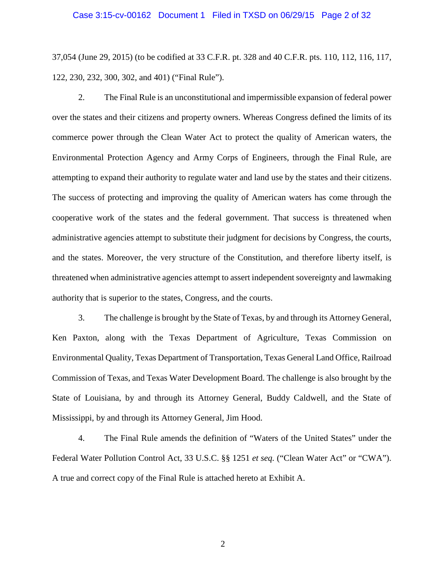#### Case 3:15-cv-00162 Document 1 Filed in TXSD on 06/29/15 Page 2 of 32

37,054 (June 29, 2015) (to be codified at 33 C.F.R. pt. 328 and 40 C.F.R. pts. 110, 112, 116, 117, 122, 230, 232, 300, 302, and 401) ("Final Rule").

2. The Final Rule is an unconstitutional and impermissible expansion of federal power over the states and their citizens and property owners. Whereas Congress defined the limits of its commerce power through the Clean Water Act to protect the quality of American waters, the Environmental Protection Agency and Army Corps of Engineers, through the Final Rule, are attempting to expand their authority to regulate water and land use by the states and their citizens. The success of protecting and improving the quality of American waters has come through the cooperative work of the states and the federal government. That success is threatened when administrative agencies attempt to substitute their judgment for decisions by Congress, the courts, and the states. Moreover, the very structure of the Constitution, and therefore liberty itself, is threatened when administrative agencies attempt to assert independent sovereignty and lawmaking authority that is superior to the states, Congress, and the courts.

3. The challenge is brought by the State of Texas, by and through its Attorney General, Ken Paxton, along with the Texas Department of Agriculture, Texas Commission on Environmental Quality, Texas Department of Transportation, Texas General Land Office, Railroad Commission of Texas, and Texas Water Development Board. The challenge is also brought by the State of Louisiana, by and through its Attorney General, Buddy Caldwell, and the State of Mississippi, by and through its Attorney General, Jim Hood.

4. The Final Rule amends the definition of "Waters of the United States" under the Federal Water Pollution Control Act, 33 U.S.C. §§ 1251 *et seq.* ("Clean Water Act" or "CWA"). A true and correct copy of the Final Rule is attached hereto at Exhibit A.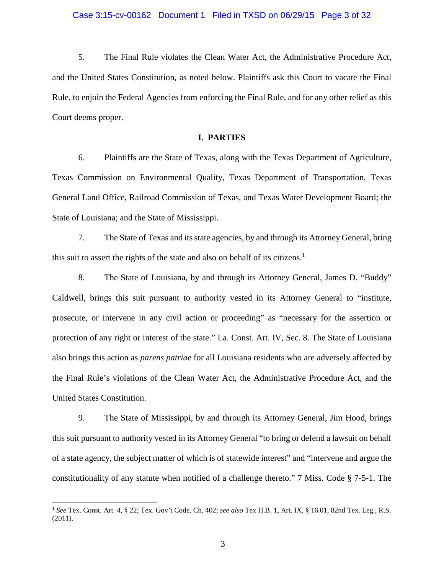#### Case 3:15-cv-00162 Document 1 Filed in TXSD on 06/29/15 Page 3 of 32

5. The Final Rule violates the Clean Water Act, the Administrative Procedure Act, and the United States Constitution, as noted below. Plaintiffs ask this Court to vacate the Final Rule, to enjoin the Federal Agencies from enforcing the Final Rule, and for any other relief as this Court deems proper.

# **I. PARTIES**

6. Plaintiffs are the State of Texas, along with the Texas Department of Agriculture, Texas Commission on Environmental Quality, Texas Department of Transportation, Texas General Land Office, Railroad Commission of Texas, and Texas Water Development Board; the State of Louisiana; and the State of Mississippi.

7. The State of Texas and its state agencies, by and through its Attorney General, bring this suit to assert the rights of the state and also on behalf of its citizens.<sup>1</sup>

8. The State of Louisiana, by and through its Attorney General, James D. "Buddy" Caldwell, brings this suit pursuant to authority vested in its Attorney General to "institute, prosecute, or intervene in any civil action or proceeding" as "necessary for the assertion or protection of any right or interest of the state." La. Const. Art. IV, Sec. 8. The State of Louisiana also brings this action as *parens patriae* for all Louisiana residents who are adversely affected by the Final Rule's violations of the Clean Water Act, the Administrative Procedure Act, and the United States Constitution.

9. The State of Mississippi, by and through its Attorney General, Jim Hood, brings this suit pursuant to authority vested in its Attorney General "to bring or defend a lawsuit on behalf of a state agency, the subject matter of which is of statewide interest" and "intervene and argue the constitutionality of any statute when notified of a challenge thereto." 7 Miss. Code § 7-5-1. The

<sup>1</sup> *See* Tex. Const. Art. 4, § 22; Tex. Gov't Code, Ch. 402; *see also* Tex H.B. 1, Art. IX, § 16.01, 82nd Tex. Leg., R.S. (2011).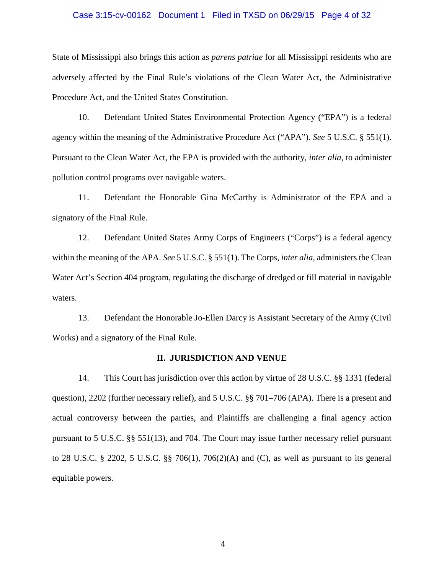#### Case 3:15-cv-00162 Document 1 Filed in TXSD on 06/29/15 Page 4 of 32

State of Mississippi also brings this action as *parens patriae* for all Mississippi residents who are adversely affected by the Final Rule's violations of the Clean Water Act, the Administrative Procedure Act, and the United States Constitution.

10. Defendant United States Environmental Protection Agency ("EPA") is a federal agency within the meaning of the Administrative Procedure Act ("APA"). *See* 5 U.S.C. § 551(1). Pursuant to the Clean Water Act, the EPA is provided with the authority, *inter alia*, to administer pollution control programs over navigable waters.

11. Defendant the Honorable Gina McCarthy is Administrator of the EPA and a signatory of the Final Rule.

12. Defendant United States Army Corps of Engineers ("Corps") is a federal agency within the meaning of the APA. *See* 5 U.S.C. § 551(1). The Corps, *inter alia*, administers the Clean Water Act's Section 404 program, regulating the discharge of dredged or fill material in navigable waters.

13. Defendant the Honorable Jo-Ellen Darcy is Assistant Secretary of the Army (Civil Works) and a signatory of the Final Rule.

#### **II. JURISDICTION AND VENUE**

14. This Court has jurisdiction over this action by virtue of 28 U.S.C. §§ 1331 (federal question), 2202 (further necessary relief), and 5 U.S.C. §§ 701–706 (APA). There is a present and actual controversy between the parties, and Plaintiffs are challenging a final agency action pursuant to 5 U.S.C. §§ 551(13), and 704. The Court may issue further necessary relief pursuant to 28 U.S.C. § 2202, 5 U.S.C. §§ 706(1), 706(2)(A) and (C), as well as pursuant to its general equitable powers.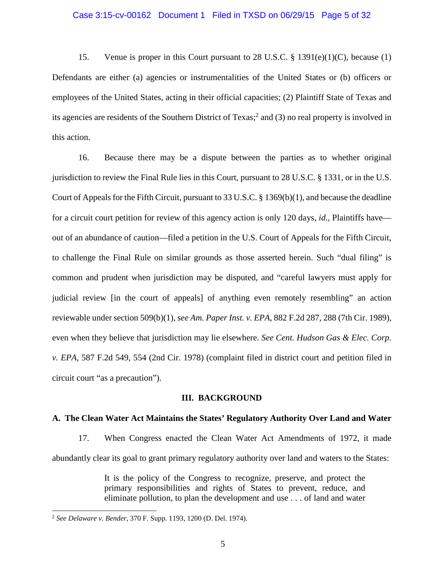#### Case 3:15-cv-00162 Document 1 Filed in TXSD on 06/29/15 Page 5 of 32

15. Venue is proper in this Court pursuant to 28 U.S.C. § 1391(e)(1)(C), because (1) Defendants are either (a) agencies or instrumentalities of the United States or (b) officers or employees of the United States, acting in their official capacities; (2) Plaintiff State of Texas and its agencies are residents of the Southern District of Texas;<sup>2</sup> and (3) no real property is involved in this action.

16. Because there may be a dispute between the parties as to whether original jurisdiction to review the Final Rule lies in this Court, pursuant to 28 U.S.C. § 1331, or in the U.S. Court of Appeals for the Fifth Circuit, pursuant to 33 U.S.C. § 1369(b)(1), and because the deadline for a circuit court petition for review of this agency action is only 120 days, *id*., Plaintiffs have out of an abundance of caution—filed a petition in the U.S. Court of Appeals for the Fifth Circuit, to challenge the Final Rule on similar grounds as those asserted herein. Such "dual filing" is common and prudent when jurisdiction may be disputed, and "careful lawyers must apply for judicial review [in the court of appeals] of anything even remotely resembling" an action reviewable under section 509(b)(1), *see Am. Paper Inst. v. EPA*, 882 F.2d 287, 288 (7th Cir. 1989), even when they believe that jurisdiction may lie elsewhere. *See Cent. Hudson Gas & Elec. Corp. v. EPA*, 587 F.2d 549, 554 (2nd Cir. 1978) (complaint filed in district court and petition filed in circuit court "as a precaution").

#### **III. BACKGROUND**

#### **A. The Clean Water Act Maintains the States' Regulatory Authority Over Land and Water**

17. When Congress enacted the Clean Water Act Amendments of 1972, it made abundantly clear its goal to grant primary regulatory authority over land and waters to the States:

> It is the policy of the Congress to recognize, preserve, and protect the primary responsibilities and rights of States to prevent, reduce, and eliminate pollution, to plan the development and use . . . of land and water

<sup>2</sup> *See Delaware v. Bender*, 370 F. Supp. 1193, 1200 (D. Del. 1974).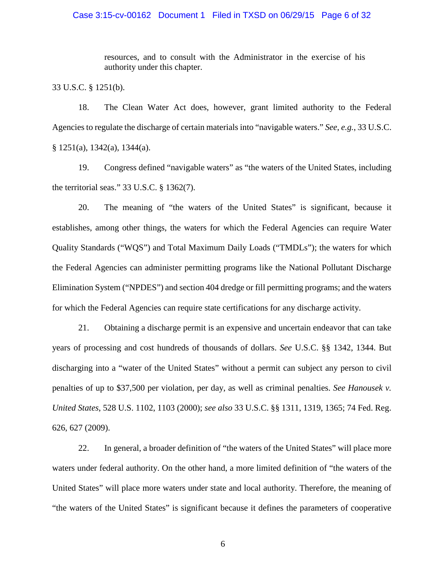#### Case 3:15-cv-00162 Document 1 Filed in TXSD on 06/29/15 Page 6 of 32

resources, and to consult with the Administrator in the exercise of his authority under this chapter.

33 U.S.C. § 1251(b).

18. The Clean Water Act does, however, grant limited authority to the Federal Agencies to regulate the discharge of certain materials into "navigable waters." *See*, *e.g.*, 33 U.S.C. § 1251(a), 1342(a), 1344(a).

19. Congress defined "navigable waters" as "the waters of the United States, including the territorial seas." 33 U.S.C. § 1362(7).

20. The meaning of "the waters of the United States" is significant, because it establishes, among other things, the waters for which the Federal Agencies can require Water Quality Standards ("WQS") and Total Maximum Daily Loads ("TMDLs"); the waters for which the Federal Agencies can administer permitting programs like the National Pollutant Discharge Elimination System ("NPDES") and section 404 dredge or fill permitting programs; and the waters for which the Federal Agencies can require state certifications for any discharge activity.

21. Obtaining a discharge permit is an expensive and uncertain endeavor that can take years of processing and cost hundreds of thousands of dollars. *See* U.S.C. §§ 1342, 1344. But discharging into a "water of the United States" without a permit can subject any person to civil penalties of up to \$37,500 per violation, per day, as well as criminal penalties. *See Hanousek v. United States*, 528 U.S. 1102, 1103 (2000); *see also* 33 U.S.C. §§ 1311, 1319, 1365; 74 Fed. Reg. 626, 627 (2009).

22. In general, a broader definition of "the waters of the United States" will place more waters under federal authority. On the other hand, a more limited definition of "the waters of the United States" will place more waters under state and local authority. Therefore, the meaning of "the waters of the United States" is significant because it defines the parameters of cooperative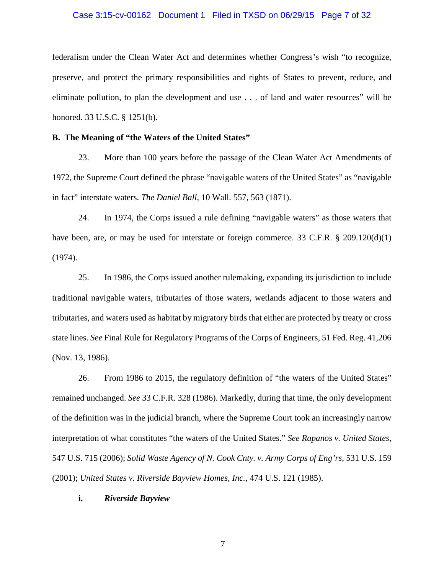#### Case 3:15-cv-00162 Document 1 Filed in TXSD on 06/29/15 Page 7 of 32

federalism under the Clean Water Act and determines whether Congress's wish "to recognize, preserve, and protect the primary responsibilities and rights of States to prevent, reduce, and eliminate pollution, to plan the development and use . . . of land and water resources" will be honored. 33 U.S.C. § 1251(b).

# **B. The Meaning of "the Waters of the United States"**

23. More than 100 years before the passage of the Clean Water Act Amendments of 1972, the Supreme Court defined the phrase "navigable waters of the United States" as "navigable in fact" interstate waters. *The Daniel Ball*, 10 Wall. 557, 563 (1871).

24. In 1974, the Corps issued a rule defining "navigable waters" as those waters that have been, are, or may be used for interstate or foreign commerce. 33 C.F.R. § 209.120(d)(1) (1974).

25. In 1986, the Corps issued another rulemaking, expanding its jurisdiction to include traditional navigable waters, tributaries of those waters, wetlands adjacent to those waters and tributaries, and waters used as habitat by migratory birds that either are protected by treaty or cross state lines. *See* Final Rule for Regulatory Programs of the Corps of Engineers, 51 Fed. Reg. 41,206 (Nov. 13, 1986).

26. From 1986 to 2015, the regulatory definition of "the waters of the United States" remained unchanged. *See* 33 C.F.R. 328 (1986). Markedly, during that time, the only development of the definition was in the judicial branch, where the Supreme Court took an increasingly narrow interpretation of what constitutes "the waters of the United States." *See Rapanos v. United States*, 547 U.S. 715 (2006); *Solid Waste Agency of N. Cook Cnty. v. Army Corps of Eng'rs*, 531 U.S. 159 (2001); *United States v. Riverside Bayview Homes, Inc.*, 474 U.S. 121 (1985).

# **i.** *Riverside Bayview*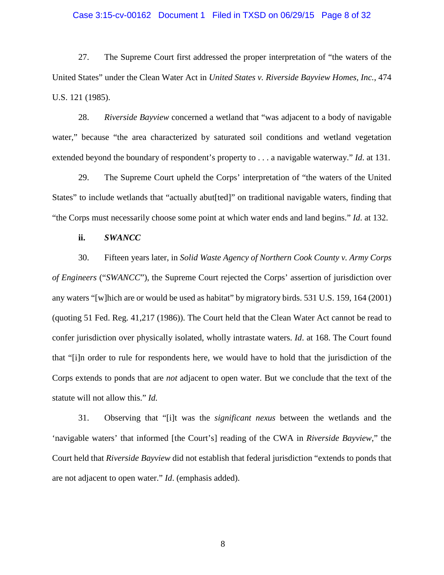#### Case 3:15-cv-00162 Document 1 Filed in TXSD on 06/29/15 Page 8 of 32

27. The Supreme Court first addressed the proper interpretation of "the waters of the United States" under the Clean Water Act in *United States v. Riverside Bayview Homes, Inc.*, 474 U.S. 121 (1985).

28. *Riverside Bayview* concerned a wetland that "was adjacent to a body of navigable water," because "the area characterized by saturated soil conditions and wetland vegetation extended beyond the boundary of respondent's property to . . . a navigable waterway." *Id*. at 131.

29. The Supreme Court upheld the Corps' interpretation of "the waters of the United States" to include wetlands that "actually abut[ted]" on traditional navigable waters, finding that "the Corps must necessarily choose some point at which water ends and land begins." *Id*. at 132.

## **ii.** *SWANCC*

30. Fifteen years later, in *Solid Waste Agency of Northern Cook County v. Army Corps of Engineers* ("*SWANCC*"), the Supreme Court rejected the Corps' assertion of jurisdiction over any waters "[w]hich are or would be used as habitat" by migratory birds. 531 U.S. 159, 164 (2001) (quoting 51 Fed. Reg. 41,217 (1986)). The Court held that the Clean Water Act cannot be read to confer jurisdiction over physically isolated, wholly intrastate waters. *Id*. at 168. The Court found that "[i]n order to rule for respondents here, we would have to hold that the jurisdiction of the Corps extends to ponds that are *not* adjacent to open water. But we conclude that the text of the statute will not allow this." *Id.*

31. Observing that "[i]t was the *significant nexus* between the wetlands and the 'navigable waters' that informed [the Court's] reading of the CWA in *Riverside Bayview*," the Court held that *Riverside Bayview* did not establish that federal jurisdiction "extends to ponds that are not adjacent to open water." *Id*. (emphasis added).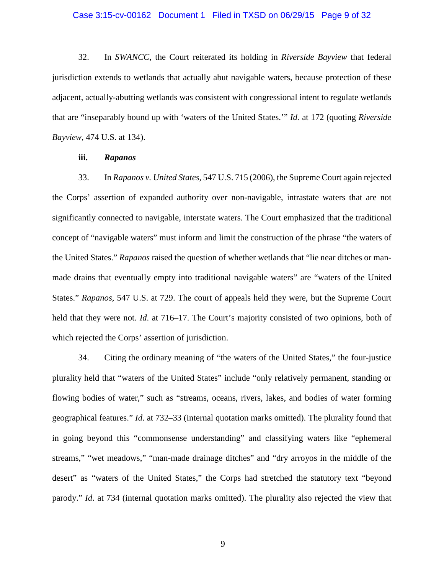#### Case 3:15-cv-00162 Document 1 Filed in TXSD on 06/29/15 Page 9 of 32

32. In *SWANCC*, the Court reiterated its holding in *Riverside Bayview* that federal jurisdiction extends to wetlands that actually abut navigable waters, because protection of these adjacent, actually-abutting wetlands was consistent with congressional intent to regulate wetlands that are "inseparably bound up with 'waters of the United States.'" *Id.* at 172 (quoting *Riverside Bayview*, 474 U.S. at 134).

#### **iii.** *Rapanos*

33. In *Rapanos v. United States*, 547 U.S. 715 (2006), the Supreme Court again rejected the Corps' assertion of expanded authority over non-navigable, intrastate waters that are not significantly connected to navigable, interstate waters. The Court emphasized that the traditional concept of "navigable waters" must inform and limit the construction of the phrase "the waters of the United States." *Rapanos* raised the question of whether wetlands that "lie near ditches or manmade drains that eventually empty into traditional navigable waters" are "waters of the United States." *Rapanos*, 547 U.S. at 729. The court of appeals held they were, but the Supreme Court held that they were not. *Id*. at 716–17. The Court's majority consisted of two opinions, both of which rejected the Corps' assertion of jurisdiction.

34. Citing the ordinary meaning of "the waters of the United States," the four-justice plurality held that "waters of the United States" include "only relatively permanent, standing or flowing bodies of water," such as "streams, oceans, rivers, lakes, and bodies of water forming geographical features." *Id*. at 732–33 (internal quotation marks omitted). The plurality found that in going beyond this "commonsense understanding" and classifying waters like "ephemeral streams," "wet meadows," "man-made drainage ditches" and "dry arroyos in the middle of the desert" as "waters of the United States," the Corps had stretched the statutory text "beyond parody." *Id*. at 734 (internal quotation marks omitted). The plurality also rejected the view that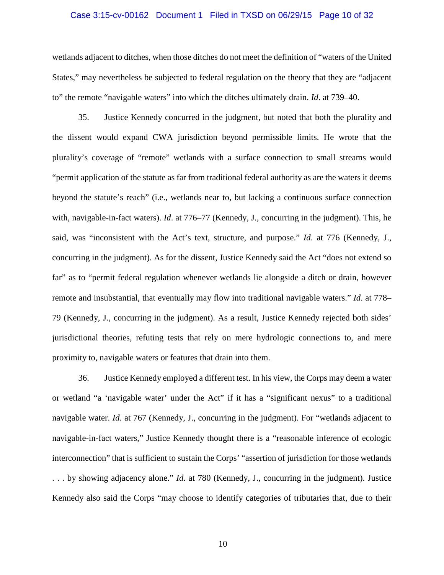#### Case 3:15-cv-00162 Document 1 Filed in TXSD on 06/29/15 Page 10 of 32

wetlands adjacent to ditches, when those ditches do not meet the definition of "waters of the United States," may nevertheless be subjected to federal regulation on the theory that they are "adjacent to" the remote "navigable waters" into which the ditches ultimately drain. *Id*. at 739–40.

35. Justice Kennedy concurred in the judgment, but noted that both the plurality and the dissent would expand CWA jurisdiction beyond permissible limits. He wrote that the plurality's coverage of "remote" wetlands with a surface connection to small streams would "permit application of the statute as far from traditional federal authority as are the waters it deems beyond the statute's reach" (i.e., wetlands near to, but lacking a continuous surface connection with, navigable-in-fact waters). *Id.* at 776–77 (Kennedy, J., concurring in the judgment). This, he said, was "inconsistent with the Act's text, structure, and purpose." *Id*. at 776 (Kennedy, J., concurring in the judgment). As for the dissent, Justice Kennedy said the Act "does not extend so far" as to "permit federal regulation whenever wetlands lie alongside a ditch or drain, however remote and insubstantial, that eventually may flow into traditional navigable waters." *Id*. at 778– 79 (Kennedy, J., concurring in the judgment). As a result, Justice Kennedy rejected both sides' jurisdictional theories, refuting tests that rely on mere hydrologic connections to, and mere proximity to, navigable waters or features that drain into them.

36. Justice Kennedy employed a different test. In his view, the Corps may deem a water or wetland "a 'navigable water' under the Act" if it has a "significant nexus" to a traditional navigable water. *Id*. at 767 (Kennedy, J., concurring in the judgment). For "wetlands adjacent to navigable-in-fact waters," Justice Kennedy thought there is a "reasonable inference of ecologic interconnection" that is sufficient to sustain the Corps' "assertion of jurisdiction for those wetlands . . . by showing adjacency alone." *Id*. at 780 (Kennedy, J., concurring in the judgment). Justice Kennedy also said the Corps "may choose to identify categories of tributaries that, due to their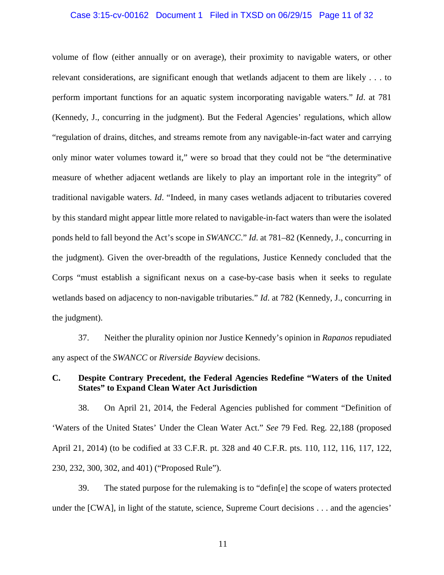#### Case 3:15-cv-00162 Document 1 Filed in TXSD on 06/29/15 Page 11 of 32

volume of flow (either annually or on average), their proximity to navigable waters, or other relevant considerations, are significant enough that wetlands adjacent to them are likely . . . to perform important functions for an aquatic system incorporating navigable waters." *Id*. at 781 (Kennedy, J., concurring in the judgment). But the Federal Agencies' regulations, which allow "regulation of drains, ditches, and streams remote from any navigable-in-fact water and carrying only minor water volumes toward it," were so broad that they could not be "the determinative measure of whether adjacent wetlands are likely to play an important role in the integrity" of traditional navigable waters. *Id*. "Indeed, in many cases wetlands adjacent to tributaries covered by this standard might appear little more related to navigable-in-fact waters than were the isolated ponds held to fall beyond the Act's scope in *SWANCC*." *Id*. at 781–82 (Kennedy, J., concurring in the judgment). Given the over-breadth of the regulations, Justice Kennedy concluded that the Corps "must establish a significant nexus on a case-by-case basis when it seeks to regulate wetlands based on adjacency to non-navigable tributaries." *Id*. at 782 (Kennedy, J., concurring in the judgment).

37. Neither the plurality opinion nor Justice Kennedy's opinion in *Rapanos* repudiated any aspect of the *SWANCC* or *Riverside Bayview* decisions.

# **C. Despite Contrary Precedent, the Federal Agencies Redefine "Waters of the United States" to Expand Clean Water Act Jurisdiction**

38. On April 21, 2014, the Federal Agencies published for comment "Definition of 'Waters of the United States' Under the Clean Water Act." *See* 79 Fed. Reg. 22,188 (proposed April 21, 2014) (to be codified at 33 C.F.R. pt. 328 and 40 C.F.R. pts. 110, 112, 116, 117, 122, 230, 232, 300, 302, and 401) ("Proposed Rule").

39. The stated purpose for the rulemaking is to "defin[e] the scope of waters protected under the [CWA], in light of the statute, science, Supreme Court decisions . . . and the agencies'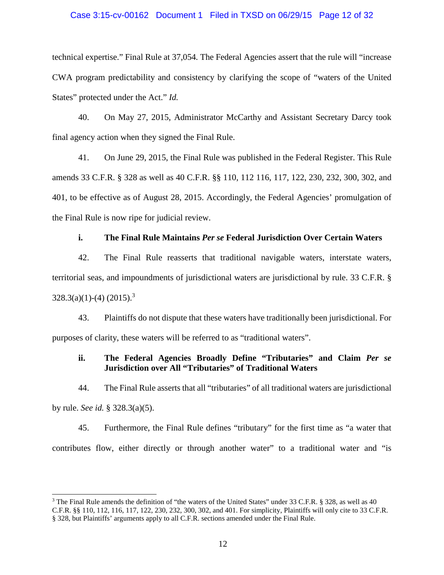#### Case 3:15-cv-00162 Document 1 Filed in TXSD on 06/29/15 Page 12 of 32

technical expertise." Final Rule at 37,054*.* The Federal Agencies assert that the rule will "increase CWA program predictability and consistency by clarifying the scope of "waters of the United States" protected under the Act." *Id.*

40. On May 27, 2015, Administrator McCarthy and Assistant Secretary Darcy took final agency action when they signed the Final Rule.

41. On June 29, 2015, the Final Rule was published in the Federal Register. This Rule amends 33 C.F.R. § 328 as well as 40 C.F.R. §§ 110, 112 116, 117, 122, 230, 232, 300, 302, and 401, to be effective as of August 28, 2015. Accordingly, the Federal Agencies' promulgation of the Final Rule is now ripe for judicial review.

# **i. The Final Rule Maintains** *Per se* **Federal Jurisdiction Over Certain Waters**

42. The Final Rule reasserts that traditional navigable waters, interstate waters, territorial seas, and impoundments of jurisdictional waters are jurisdictional by rule. 33 C.F.R. §  $328.3(a)(1)-(4)(2015).<sup>3</sup>$ 

43. Plaintiffs do not dispute that these waters have traditionally been jurisdictional. For purposes of clarity, these waters will be referred to as "traditional waters".

# **ii. The Federal Agencies Broadly Define "Tributaries" and Claim** *Per se* **Jurisdiction over All "Tributaries" of Traditional Waters**

44. The Final Rule asserts that all "tributaries" of all traditional waters are jurisdictional by rule. *See id.* § 328.3(a)(5).

45. Furthermore, the Final Rule defines "tributary" for the first time as "a water that contributes flow, either directly or through another water" to a traditional water and "is

<sup>&</sup>lt;sup>3</sup> The Final Rule amends the definition of "the waters of the United States" under 33 C.F.R. § 328, as well as 40 C.F.R. §§ 110, 112, 116, 117, 122, 230, 232, 300, 302, and 401. For simplicity, Plaintiffs will only cite to 33 C.F.R. § 328, but Plaintiffs' arguments apply to all C.F.R. sections amended under the Final Rule.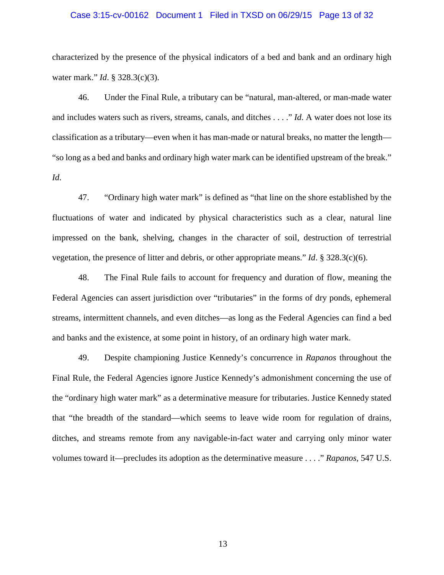#### Case 3:15-cv-00162 Document 1 Filed in TXSD on 06/29/15 Page 13 of 32

characterized by the presence of the physical indicators of a bed and bank and an ordinary high water mark." *Id*. § 328.3(c)(3).

46. Under the Final Rule, a tributary can be "natural, man-altered, or man-made water and includes waters such as rivers, streams, canals, and ditches . . . ." *Id*. A water does not lose its classification as a tributary—even when it has man-made or natural breaks, no matter the length— "so long as a bed and banks and ordinary high water mark can be identified upstream of the break." *Id*.

47. "Ordinary high water mark" is defined as "that line on the shore established by the fluctuations of water and indicated by physical characteristics such as a clear, natural line impressed on the bank, shelving, changes in the character of soil, destruction of terrestrial vegetation, the presence of litter and debris, or other appropriate means." *Id*. § 328.3(c)(6).

48. The Final Rule fails to account for frequency and duration of flow, meaning the Federal Agencies can assert jurisdiction over "tributaries" in the forms of dry ponds, ephemeral streams, intermittent channels, and even ditches—as long as the Federal Agencies can find a bed and banks and the existence, at some point in history, of an ordinary high water mark.

49. Despite championing Justice Kennedy's concurrence in *Rapanos* throughout the Final Rule, the Federal Agencies ignore Justice Kennedy's admonishment concerning the use of the "ordinary high water mark" as a determinative measure for tributaries. Justice Kennedy stated that "the breadth of the standard—which seems to leave wide room for regulation of drains, ditches, and streams remote from any navigable-in-fact water and carrying only minor water volumes toward it—precludes its adoption as the determinative measure . . . ." *Rapanos*, 547 U.S.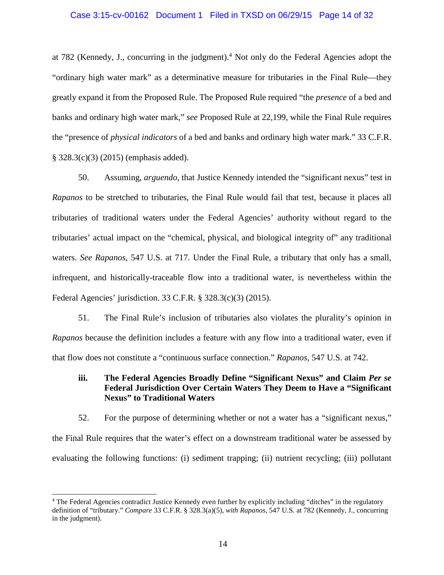#### Case 3:15-cv-00162 Document 1 Filed in TXSD on 06/29/15 Page 14 of 32

at 782 (Kennedy, J., concurring in the judgment).<sup>4</sup> Not only do the Federal Agencies adopt the "ordinary high water mark" as a determinative measure for tributaries in the Final Rule—they greatly expand it from the Proposed Rule. The Proposed Rule required "the *presence* of a bed and banks and ordinary high water mark," *see* Proposed Rule at 22,199, while the Final Rule requires the "presence of *physical indicators* of a bed and banks and ordinary high water mark." 33 C.F.R. § 328.3(c)(3) (2015) (emphasis added).

50. Assuming, *arguendo*, that Justice Kennedy intended the "significant nexus" test in *Rapanos* to be stretched to tributaries, the Final Rule would fail that test, because it places all tributaries of traditional waters under the Federal Agencies' authority without regard to the tributaries' actual impact on the "chemical, physical, and biological integrity of" any traditional waters. *See Rapanos*, 547 U.S. at 717. Under the Final Rule, a tributary that only has a small, infrequent, and historically-traceable flow into a traditional water, is nevertheless within the Federal Agencies' jurisdiction. 33 C.F.R. § 328.3(c)(3) (2015).

51. The Final Rule's inclusion of tributaries also violates the plurality's opinion in *Rapanos* because the definition includes a feature with any flow into a traditional water, even if that flow does not constitute a "continuous surface connection." *Rapanos*, 547 U.S. at 742.

# **iii. The Federal Agencies Broadly Define "Significant Nexus" and Claim** *Per se*  **Federal Jurisdiction Over Certain Waters They Deem to Have a "Significant Nexus" to Traditional Waters**

52. For the purpose of determining whether or not a water has a "significant nexus," the Final Rule requires that the water's effect on a downstream traditional water be assessed by evaluating the following functions: (i) sediment trapping; (ii) nutrient recycling; (iii) pollutant

<sup>&</sup>lt;sup>4</sup> The Federal Agencies contradict Justice Kennedy even further by explicitly including "ditches" in the regulatory definition of "tributary." *Compare* 33 C.F.R. § 328.3(a)(5), *with Rapanos*, 547 U.S. at 782 (Kennedy, J., concurring in the judgment).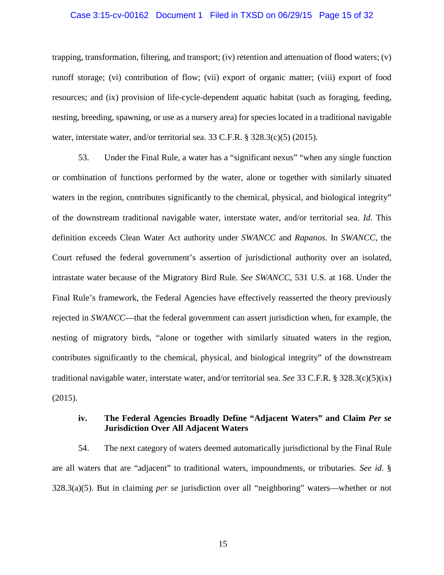#### Case 3:15-cv-00162 Document 1 Filed in TXSD on 06/29/15 Page 15 of 32

trapping, transformation, filtering, and transport; (iv) retention and attenuation of flood waters; (v) runoff storage; (vi) contribution of flow; (vii) export of organic matter; (viii) export of food resources; and (ix) provision of life-cycle-dependent aquatic habitat (such as foraging, feeding, nesting, breeding, spawning, or use as a nursery area) for species located in a traditional navigable water, interstate water, and/or territorial sea. 33 C.F.R. § 328.3(c)(5) (2015).

53. Under the Final Rule, a water has a "significant nexus" "when any single function or combination of functions performed by the water, alone or together with similarly situated waters in the region, contributes significantly to the chemical, physical, and biological integrity" of the downstream traditional navigable water, interstate water, and/or territorial sea. *Id*. This definition exceeds Clean Water Act authority under *SWANCC* and *Rapanos*. In *SWANCC*, the Court refused the federal government's assertion of jurisdictional authority over an isolated, intrastate water because of the Migratory Bird Rule. *See SWANCC*, 531 U.S. at 168. Under the Final Rule's framework, the Federal Agencies have effectively reasserted the theory previously rejected in *SWANCC*—that the federal government can assert jurisdiction when, for example, the nesting of migratory birds, "alone or together with similarly situated waters in the region, contributes significantly to the chemical, physical, and biological integrity" of the downstream traditional navigable water, interstate water, and/or territorial sea. *See* 33 C.F.R. § 328.3(c)(5)(ix) (2015).

# **iv. The Federal Agencies Broadly Define "Adjacent Waters" and Claim** *Per se* **Jurisdiction Over All Adjacent Waters**

54. The next category of waters deemed automatically jurisdictional by the Final Rule are all waters that are "adjacent" to traditional waters, impoundments, or tributaries. *See id.* § 328.3(a)(5). But in claiming *per se* jurisdiction over all "neighboring" waters—whether or not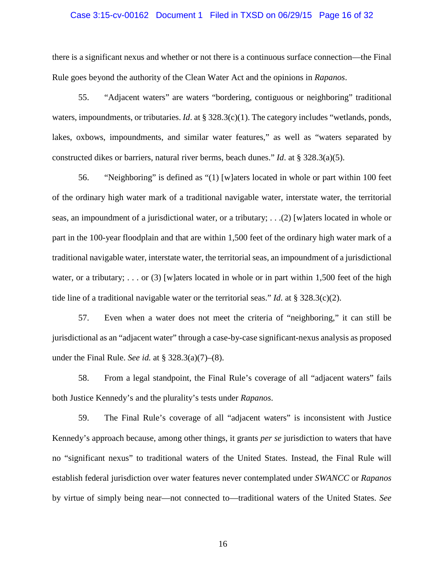#### Case 3:15-cv-00162 Document 1 Filed in TXSD on 06/29/15 Page 16 of 32

there is a significant nexus and whether or not there is a continuous surface connection—the Final Rule goes beyond the authority of the Clean Water Act and the opinions in *Rapanos*.

55. "Adjacent waters" are waters "bordering, contiguous or neighboring" traditional waters, impoundments, or tributaries. *Id.* at § 328.3(c)(1). The category includes "wetlands, ponds, lakes, oxbows, impoundments, and similar water features," as well as "waters separated by constructed dikes or barriers, natural river berms, beach dunes." *Id*. at § 328.3(a)(5).

56. "Neighboring" is defined as "(1) [w]aters located in whole or part within 100 feet of the ordinary high water mark of a traditional navigable water, interstate water, the territorial seas, an impoundment of a jurisdictional water, or a tributary; . . .(2) [w]aters located in whole or part in the 100-year floodplain and that are within 1,500 feet of the ordinary high water mark of a traditional navigable water, interstate water, the territorial seas, an impoundment of a jurisdictional water, or a tributary; ... or (3) [w]aters located in whole or in part within 1,500 feet of the high tide line of a traditional navigable water or the territorial seas." *Id*. at § 328.3(c)(2).

57. Even when a water does not meet the criteria of "neighboring," it can still be jurisdictional as an "adjacent water" through a case-by-case significant-nexus analysis as proposed under the Final Rule. *See id.* at § 328.3(a)(7)–(8).

58. From a legal standpoint, the Final Rule's coverage of all "adjacent waters" fails both Justice Kennedy's and the plurality's tests under *Rapanos*.

59. The Final Rule's coverage of all "adjacent waters" is inconsistent with Justice Kennedy's approach because, among other things, it grants *per se* jurisdiction to waters that have no "significant nexus" to traditional waters of the United States. Instead, the Final Rule will establish federal jurisdiction over water features never contemplated under *SWANCC* or *Rapanos* by virtue of simply being near—not connected to—traditional waters of the United States. *See*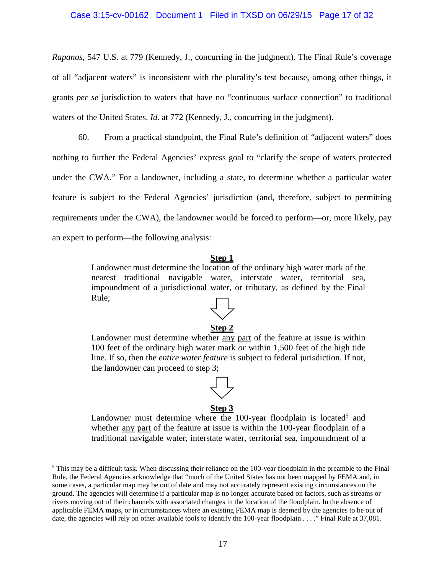#### Case 3:15-cv-00162 Document 1 Filed in TXSD on 06/29/15 Page 17 of 32

*Rapanos*, 547 U.S. at 779 (Kennedy, J., concurring in the judgment). The Final Rule's coverage of all "adjacent waters" is inconsistent with the plurality's test because, among other things, it grants *per se* jurisdiction to waters that have no "continuous surface connection" to traditional waters of the United States. *Id*. at 772 (Kennedy, J., concurring in the judgment).

60. From a practical standpoint, the Final Rule's definition of "adjacent waters" does nothing to further the Federal Agencies' express goal to "clarify the scope of waters protected under the CWA." For a landowner, including a state, to determine whether a particular water feature is subject to the Federal Agencies' jurisdiction (and, therefore, subject to permitting requirements under the CWA), the landowner would be forced to perform—or, more likely, pay an expert to perform—the following analysis:

#### **Step 1**

Landowner must determine the location of the ordinary high water mark of the nearest traditional navigable water, interstate water, territorial sea, impoundment of a jurisdictional water, or tributary, as defined by the Final Rule;

#### **Step 2**

Landowner must determine whether any part of the feature at issue is within 100 feet of the ordinary high water mark *or* within 1,500 feet of the high tide line. If so, then the *entire water feature* is subject to federal jurisdiction. If not, the landowner can proceed to step 3;



#### **Step 3**

Landowner must determine where the  $100$ -year floodplain is located<sup>5</sup> and whether any part of the feature at issue is within the 100-year floodplain of a traditional navigable water, interstate water, territorial sea, impoundment of a

<sup>&</sup>lt;sup>5</sup> This may be a difficult task. When discussing their reliance on the 100-year floodplain in the preamble to the Final Rule, the Federal Agencies acknowledge that "much of the United States has not been mapped by FEMA and, in some cases, a particular map may be out of date and may not accurately represent existing circumstances on the ground. The agencies will determine if a particular map is no longer accurate based on factors, such as streams or rivers moving out of their channels with associated changes in the location of the floodplain. In the absence of applicable FEMA maps, or in circumstances where an existing FEMA map is deemed by the agencies to be out of date, the agencies will rely on other available tools to identify the 100-year floodplain . . . ." Final Rule at 37,081.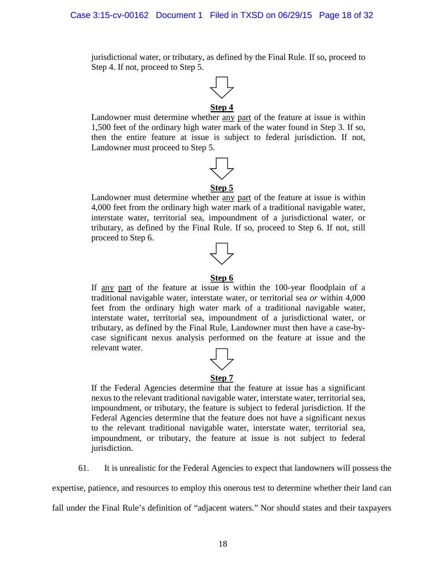jurisdictional water, or tributary, as defined by the Final Rule. If so, proceed to Step 4. If not, proceed to Step 5.



# **Step 4**

Landowner must determine whether any part of the feature at issue is within 1,500 feet of the ordinary high water mark of the water found in Step 3. If so, then the entire feature at issue is subject to federal jurisdiction. If not, Landowner must proceed to Step 5.



# **Step 5**

Landowner must determine whether any part of the feature at issue is within 4,000 feet from the ordinary high water mark of a traditional navigable water, interstate water, territorial sea, impoundment of a jurisdictional water, or tributary, as defined by the Final Rule. If so, proceed to Step 6. If not, still proceed to Step 6.



# **Step 6**

If any part of the feature at issue is within the 100-year floodplain of a traditional navigable water, interstate water, or territorial sea *or* within 4,000 feet from the ordinary high water mark of a traditional navigable water, interstate water, territorial sea, impoundment of a jurisdictional water, or tributary, as defined by the Final Rule, Landowner must then have a case-bycase significant nexus analysis performed on the feature at issue and the relevant water.



# **Step 7**

If the Federal Agencies determine that the feature at issue has a significant nexus to the relevant traditional navigable water, interstate water, territorial sea, impoundment, or tributary, the feature is subject to federal jurisdiction. If the Federal Agencies determine that the feature does not have a significant nexus to the relevant traditional navigable water, interstate water, territorial sea, impoundment, or tributary, the feature at issue is not subject to federal jurisdiction.

61. It is unrealistic for the Federal Agencies to expect that landowners will possess the

expertise, patience, and resources to employ this onerous test to determine whether their land can

fall under the Final Rule's definition of "adjacent waters." Nor should states and their taxpayers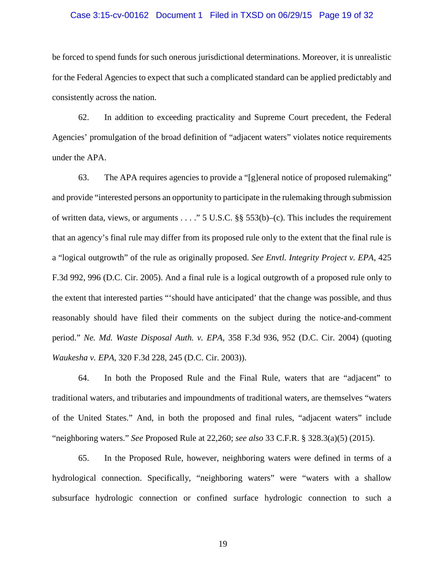#### Case 3:15-cv-00162 Document 1 Filed in TXSD on 06/29/15 Page 19 of 32

be forced to spend funds for such onerous jurisdictional determinations. Moreover, it is unrealistic for the Federal Agencies to expect that such a complicated standard can be applied predictably and consistently across the nation.

62. In addition to exceeding practicality and Supreme Court precedent, the Federal Agencies' promulgation of the broad definition of "adjacent waters" violates notice requirements under the APA.

63. The APA requires agencies to provide a "[g]eneral notice of proposed rulemaking" and provide "interested persons an opportunity to participate in the rulemaking through submission of written data, views, or arguments . . . ." 5 U.S.C. §§ 553(b)–(c). This includes the requirement that an agency's final rule may differ from its proposed rule only to the extent that the final rule is a "logical outgrowth" of the rule as originally proposed. *See Envtl. Integrity Project v. EPA*, 425 F.3d 992, 996 (D.C. Cir. 2005). And a final rule is a logical outgrowth of a proposed rule only to the extent that interested parties "'should have anticipated' that the change was possible, and thus reasonably should have filed their comments on the subject during the notice-and-comment period." *Ne. Md. Waste Disposal Auth. v. EPA*, 358 F.3d 936, 952 (D.C. Cir. 2004) (quoting *Waukesha v. EPA*, 320 F.3d 228, 245 (D.C. Cir. 2003)).

64. In both the Proposed Rule and the Final Rule, waters that are "adjacent" to traditional waters, and tributaries and impoundments of traditional waters, are themselves "waters of the United States." And, in both the proposed and final rules, "adjacent waters" include "neighboring waters." *See* Proposed Rule at 22,260; *see also* 33 C.F.R. § 328.3(a)(5) (2015).

65. In the Proposed Rule, however, neighboring waters were defined in terms of a hydrological connection. Specifically, "neighboring waters" were "waters with a shallow subsurface hydrologic connection or confined surface hydrologic connection to such a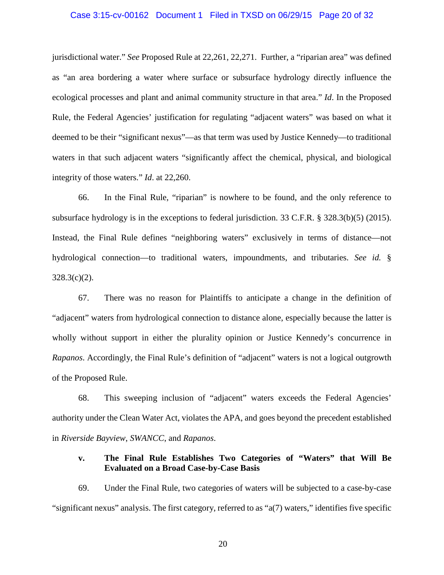#### Case 3:15-cv-00162 Document 1 Filed in TXSD on 06/29/15 Page 20 of 32

jurisdictional water." *See* Proposed Rule at 22,261, 22,271. Further, a "riparian area" was defined as "an area bordering a water where surface or subsurface hydrology directly influence the ecological processes and plant and animal community structure in that area." *Id*. In the Proposed Rule, the Federal Agencies' justification for regulating "adjacent waters" was based on what it deemed to be their "significant nexus"—as that term was used by Justice Kennedy—to traditional waters in that such adjacent waters "significantly affect the chemical, physical, and biological integrity of those waters." *Id*. at 22,260.

66. In the Final Rule, "riparian" is nowhere to be found, and the only reference to subsurface hydrology is in the exceptions to federal jurisdiction. 33 C.F.R. § 328.3(b)(5) (2015). Instead, the Final Rule defines "neighboring waters" exclusively in terms of distance—not hydrological connection—to traditional waters, impoundments, and tributaries. *See id.* §  $328.3(c)(2)$ .

67. There was no reason for Plaintiffs to anticipate a change in the definition of "adjacent" waters from hydrological connection to distance alone, especially because the latter is wholly without support in either the plurality opinion or Justice Kennedy's concurrence in *Rapanos*. Accordingly, the Final Rule's definition of "adjacent" waters is not a logical outgrowth of the Proposed Rule.

68. This sweeping inclusion of "adjacent" waters exceeds the Federal Agencies' authority under the Clean Water Act, violates the APA, and goes beyond the precedent established in *Riverside Bayview*, *SWANCC*, and *Rapanos*.

# **v. The Final Rule Establishes Two Categories of "Waters" that Will Be Evaluated on a Broad Case-by-Case Basis**

69. Under the Final Rule, two categories of waters will be subjected to a case-by-case "significant nexus" analysis. The first category, referred to as "a(7) waters," identifies five specific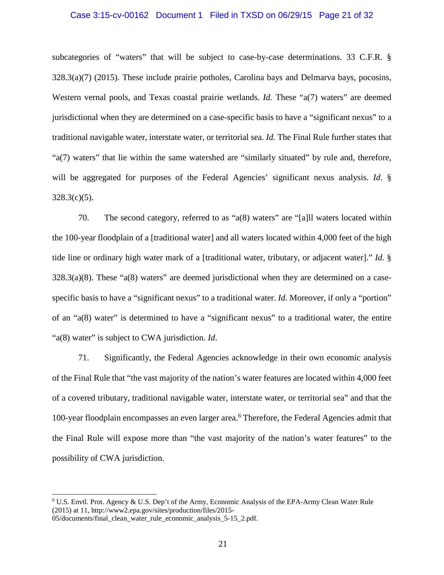#### Case 3:15-cv-00162 Document 1 Filed in TXSD on 06/29/15 Page 21 of 32

subcategories of "waters" that will be subject to case-by-case determinations. 33 C.F.R. § 328.3(a)(7) (2015). These include prairie potholes, Carolina bays and Delmarva bays, pocosins, Western vernal pools, and Texas coastal prairie wetlands. *Id.* These "a(7) waters" are deemed jurisdictional when they are determined on a case-specific basis to have a "significant nexus" to a traditional navigable water, interstate water, or territorial sea. *Id.* The Final Rule further states that "a(7) waters" that lie within the same watershed are "similarly situated" by rule and, therefore, will be aggregated for purposes of the Federal Agencies' significant nexus analysis. *Id*. §  $328.3(c)(5)$ .

70. The second category, referred to as "a(8) waters" are "[a]ll waters located within the 100-year floodplain of a [traditional water] and all waters located within 4,000 feet of the high tide line or ordinary high water mark of a [traditional water, tributary, or adjacent water]." *Id.* §  $328.3(a)(8)$ . These "a(8) waters" are deemed jurisdictional when they are determined on a casespecific basis to have a "significant nexus" to a traditional water. *Id*. Moreover, if only a "portion" of an "a(8) water" is determined to have a "significant nexus" to a traditional water, the entire "a(8) water" is subject to CWA jurisdiction. *Id*.

71. Significantly, the Federal Agencies acknowledge in their own economic analysis of the Final Rule that "the vast majority of the nation's water features are located within 4,000 feet of a covered tributary, traditional navigable water, interstate water, or territorial sea" and that the 100-year floodplain encompasses an even larger area. 6 Therefore, the Federal Agencies admit that the Final Rule will expose more than "the vast majority of the nation's water features" to the possibility of CWA jurisdiction.

<sup>&</sup>lt;sup>6</sup> U.S. Envtl. Prot. Agency & U.S. Dep't of the Army, Economic Analysis of the EPA-Army Clean Water Rule (2015) at 11, http://www2.epa.gov/sites/production/files/2015-

<sup>05/</sup>documents/final\_clean\_water\_rule\_economic\_analysis\_5-15\_2.pdf.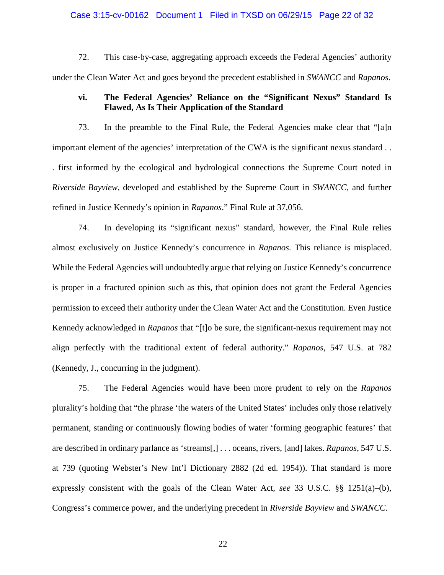#### Case 3:15-cv-00162 Document 1 Filed in TXSD on 06/29/15 Page 22 of 32

72. This case-by-case, aggregating approach exceeds the Federal Agencies' authority under the Clean Water Act and goes beyond the precedent established in *SWANCC* and *Rapanos*.

# **vi. The Federal Agencies' Reliance on the "Significant Nexus" Standard Is Flawed, As Is Their Application of the Standard**

73. In the preamble to the Final Rule, the Federal Agencies make clear that "[a]n important element of the agencies' interpretation of the CWA is the significant nexus standard . . . first informed by the ecological and hydrological connections the Supreme Court noted in *Riverside Bayview*, developed and established by the Supreme Court in *SWANCC*, and further refined in Justice Kennedy's opinion in *Rapanos*." Final Rule at 37,056.

74. In developing its "significant nexus" standard, however, the Final Rule relies almost exclusively on Justice Kennedy's concurrence in *Rapanos*. This reliance is misplaced. While the Federal Agencies will undoubtedly argue that relying on Justice Kennedy's concurrence is proper in a fractured opinion such as this, that opinion does not grant the Federal Agencies permission to exceed their authority under the Clean Water Act and the Constitution. Even Justice Kennedy acknowledged in *Rapanos* that "[t]o be sure, the significant-nexus requirement may not align perfectly with the traditional extent of federal authority." *Rapanos*, 547 U.S. at 782 (Kennedy, J., concurring in the judgment).

75. The Federal Agencies would have been more prudent to rely on the *Rapanos* plurality's holding that "the phrase 'the waters of the United States' includes only those relatively permanent, standing or continuously flowing bodies of water 'forming geographic features' that are described in ordinary parlance as 'streams[,] . . . oceans, rivers, [and] lakes. *Rapanos*, 547 U.S. at 739 (quoting Webster's New Int'l Dictionary 2882 (2d ed. 1954)). That standard is more expressly consistent with the goals of the Clean Water Act, *see* 33 U.S.C. §§ 1251(a)–(b), Congress's commerce power, and the underlying precedent in *Riverside Bayview* and *SWANCC*.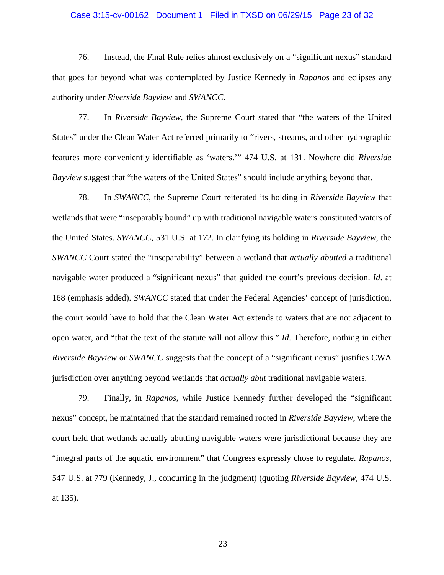#### Case 3:15-cv-00162 Document 1 Filed in TXSD on 06/29/15 Page 23 of 32

76. Instead, the Final Rule relies almost exclusively on a "significant nexus" standard that goes far beyond what was contemplated by Justice Kennedy in *Rapanos* and eclipses any authority under *Riverside Bayview* and *SWANCC*.

77. In *Riverside Bayview*, the Supreme Court stated that "the waters of the United States" under the Clean Water Act referred primarily to "rivers, streams, and other hydrographic features more conveniently identifiable as 'waters.'" 474 U.S. at 131. Nowhere did *Riverside Bayview* suggest that "the waters of the United States" should include anything beyond that.

78. In *SWANCC*, the Supreme Court reiterated its holding in *Riverside Bayview* that wetlands that were "inseparably bound" up with traditional navigable waters constituted waters of the United States. *SWANCC*, 531 U.S. at 172. In clarifying its holding in *Riverside Bayview*, the *SWANCC* Court stated the "inseparability" between a wetland that *actually abutted* a traditional navigable water produced a "significant nexus" that guided the court's previous decision. *Id*. at 168 (emphasis added). *SWANCC* stated that under the Federal Agencies' concept of jurisdiction, the court would have to hold that the Clean Water Act extends to waters that are not adjacent to open water, and "that the text of the statute will not allow this." *Id*. Therefore, nothing in either *Riverside Bayview* or *SWANCC* suggests that the concept of a "significant nexus" justifies CWA jurisdiction over anything beyond wetlands that *actually abut* traditional navigable waters.

79. Finally, in *Rapanos*, while Justice Kennedy further developed the "significant nexus" concept, he maintained that the standard remained rooted in *Riverside Bayview*, where the court held that wetlands actually abutting navigable waters were jurisdictional because they are "integral parts of the aquatic environment" that Congress expressly chose to regulate. *Rapanos*, 547 U.S. at 779 (Kennedy, J., concurring in the judgment) (quoting *Riverside Bayview*, 474 U.S. at 135).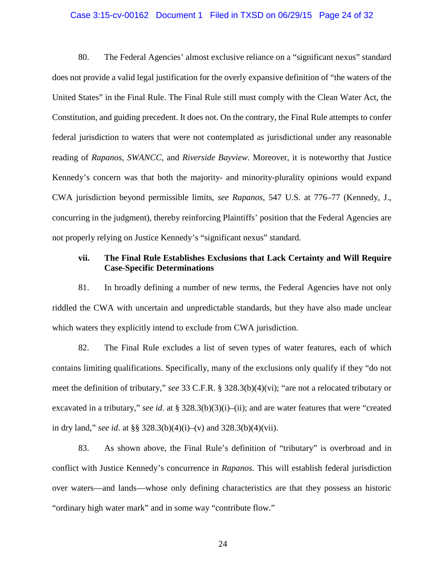#### Case 3:15-cv-00162 Document 1 Filed in TXSD on 06/29/15 Page 24 of 32

80. The Federal Agencies' almost exclusive reliance on a "significant nexus" standard does not provide a valid legal justification for the overly expansive definition of "the waters of the United States" in the Final Rule. The Final Rule still must comply with the Clean Water Act, the Constitution, and guiding precedent. It does not. On the contrary, the Final Rule attempts to confer federal jurisdiction to waters that were not contemplated as jurisdictional under any reasonable reading of *Rapanos*, *SWANCC*, and *Riverside Bayview*. Moreover, it is noteworthy that Justice Kennedy's concern was that both the majority- and minority-plurality opinions would expand CWA jurisdiction beyond permissible limits, *see Rapanos*, 547 U.S. at 776–77 (Kennedy, J., concurring in the judgment), thereby reinforcing Plaintiffs' position that the Federal Agencies are not properly relying on Justice Kennedy's "significant nexus" standard.

# **vii. The Final Rule Establishes Exclusions that Lack Certainty and Will Require Case-Specific Determinations**

81. In broadly defining a number of new terms, the Federal Agencies have not only riddled the CWA with uncertain and unpredictable standards, but they have also made unclear which waters they explicitly intend to exclude from CWA jurisdiction.

82. The Final Rule excludes a list of seven types of water features, each of which contains limiting qualifications. Specifically, many of the exclusions only qualify if they "do not meet the definition of tributary," *see* 33 C.F.R. § 328.3(b)(4)(vi); "are not a relocated tributary or excavated in a tributary," *see id*. at § 328.3(b)(3)(i)–(ii); and are water features that were "created in dry land," *see id*. at §§ 328.3(b)(4)(i)–(v) and 328.3(b)(4)(vii).

83. As shown above, the Final Rule's definition of "tributary" is overbroad and in conflict with Justice Kennedy's concurrence in *Rapanos*. This will establish federal jurisdiction over waters—and lands—whose only defining characteristics are that they possess an historic "ordinary high water mark" and in some way "contribute flow."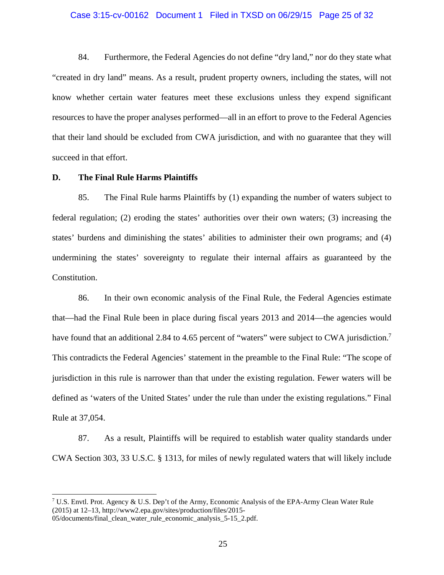#### Case 3:15-cv-00162 Document 1 Filed in TXSD on 06/29/15 Page 25 of 32

84. Furthermore, the Federal Agencies do not define "dry land," nor do they state what "created in dry land" means. As a result, prudent property owners, including the states, will not know whether certain water features meet these exclusions unless they expend significant resources to have the proper analyses performed—all in an effort to prove to the Federal Agencies that their land should be excluded from CWA jurisdiction, and with no guarantee that they will succeed in that effort.

# **D. The Final Rule Harms Plaintiffs**

85. The Final Rule harms Plaintiffs by (1) expanding the number of waters subject to federal regulation; (2) eroding the states' authorities over their own waters; (3) increasing the states' burdens and diminishing the states' abilities to administer their own programs; and (4) undermining the states' sovereignty to regulate their internal affairs as guaranteed by the Constitution.

86. In their own economic analysis of the Final Rule, the Federal Agencies estimate that—had the Final Rule been in place during fiscal years 2013 and 2014—the agencies would have found that an additional 2.84 to 4.65 percent of "waters" were subject to CWA jurisdiction.<sup>7</sup> This contradicts the Federal Agencies' statement in the preamble to the Final Rule: "The scope of jurisdiction in this rule is narrower than that under the existing regulation. Fewer waters will be defined as 'waters of the United States' under the rule than under the existing regulations." Final Rule at 37,054.

87. As a result, Plaintiffs will be required to establish water quality standards under CWA Section 303, 33 U.S.C. § 1313, for miles of newly regulated waters that will likely include

<sup>&</sup>lt;sup>7</sup> U.S. Envtl. Prot. Agency & U.S. Dep't of the Army, Economic Analysis of the EPA-Army Clean Water Rule (2015) at 12–13, http://www2.epa.gov/sites/production/files/2015-

<sup>05/</sup>documents/final\_clean\_water\_rule\_economic\_analysis\_5-15\_2.pdf.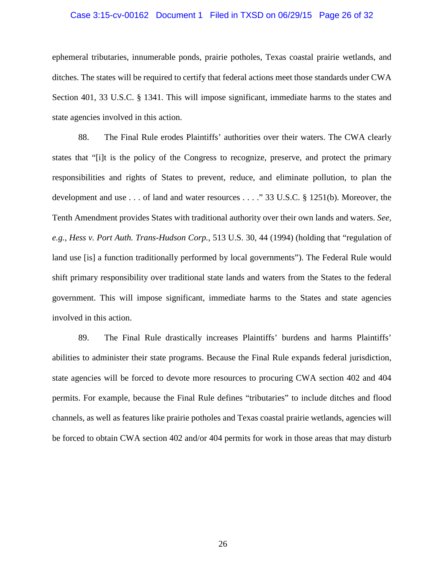#### Case 3:15-cv-00162 Document 1 Filed in TXSD on 06/29/15 Page 26 of 32

ephemeral tributaries, innumerable ponds, prairie potholes, Texas coastal prairie wetlands, and ditches. The states will be required to certify that federal actions meet those standards under CWA Section 401, 33 U.S.C. § 1341. This will impose significant, immediate harms to the states and state agencies involved in this action.

88. The Final Rule erodes Plaintiffs' authorities over their waters. The CWA clearly states that "[i]t is the policy of the Congress to recognize, preserve, and protect the primary responsibilities and rights of States to prevent, reduce, and eliminate pollution, to plan the development and use . . . of land and water resources . . . ." 33 U.S.C. § 1251(b). Moreover, the Tenth Amendment provides States with traditional authority over their own lands and waters. *See, e.g.*, *Hess v. Port Auth. Trans-Hudson Corp.*, 513 U.S. 30, 44 (1994) (holding that "regulation of land use [is] a function traditionally performed by local governments"). The Federal Rule would shift primary responsibility over traditional state lands and waters from the States to the federal government. This will impose significant, immediate harms to the States and state agencies involved in this action.

89. The Final Rule drastically increases Plaintiffs' burdens and harms Plaintiffs' abilities to administer their state programs. Because the Final Rule expands federal jurisdiction, state agencies will be forced to devote more resources to procuring CWA section 402 and 404 permits. For example, because the Final Rule defines "tributaries" to include ditches and flood channels, as well as features like prairie potholes and Texas coastal prairie wetlands, agencies will be forced to obtain CWA section 402 and/or 404 permits for work in those areas that may disturb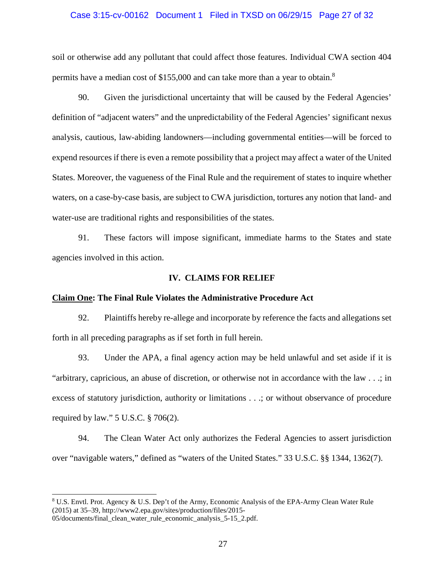#### Case 3:15-cv-00162 Document 1 Filed in TXSD on 06/29/15 Page 27 of 32

soil or otherwise add any pollutant that could affect those features. Individual CWA section 404 permits have a median cost of \$155,000 and can take more than a year to obtain. $8$ 

90. Given the jurisdictional uncertainty that will be caused by the Federal Agencies' definition of "adjacent waters" and the unpredictability of the Federal Agencies' significant nexus analysis, cautious, law-abiding landowners—including governmental entities—will be forced to expend resources if there is even a remote possibility that a project may affect a water of the United States. Moreover, the vagueness of the Final Rule and the requirement of states to inquire whether waters, on a case-by-case basis, are subject to CWA jurisdiction, tortures any notion that land- and water-use are traditional rights and responsibilities of the states.

91. These factors will impose significant, immediate harms to the States and state agencies involved in this action.

#### **IV. CLAIMS FOR RELIEF**

#### **Claim One: The Final Rule Violates the Administrative Procedure Act**

92. Plaintiffs hereby re-allege and incorporate by reference the facts and allegations set forth in all preceding paragraphs as if set forth in full herein.

93. Under the APA, a final agency action may be held unlawful and set aside if it is "arbitrary, capricious, an abuse of discretion, or otherwise not in accordance with the law . . .; in excess of statutory jurisdiction, authority or limitations . . .; or without observance of procedure required by law." 5 U.S.C. § 706(2).

94. The Clean Water Act only authorizes the Federal Agencies to assert jurisdiction over "navigable waters," defined as "waters of the United States." 33 U.S.C. §§ 1344, 1362(7).

<sup>&</sup>lt;sup>8</sup> U.S. Envtl. Prot. Agency & U.S. Dep't of the Army, Economic Analysis of the EPA-Army Clean Water Rule (2015) at 35–39, http://www2.epa.gov/sites/production/files/2015-

<sup>05/</sup>documents/final\_clean\_water\_rule\_economic\_analysis\_5-15\_2.pdf.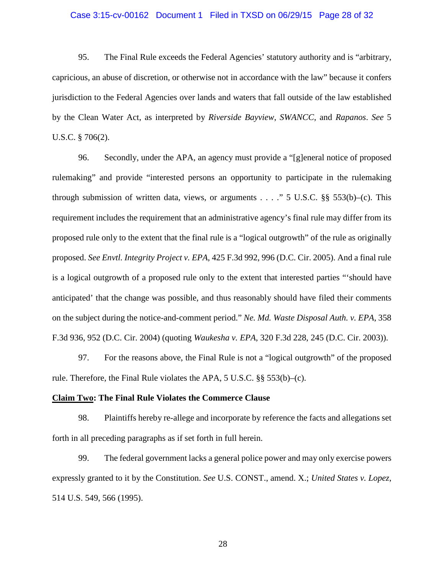#### Case 3:15-cv-00162 Document 1 Filed in TXSD on 06/29/15 Page 28 of 32

95. The Final Rule exceeds the Federal Agencies' statutory authority and is "arbitrary, capricious, an abuse of discretion, or otherwise not in accordance with the law" because it confers jurisdiction to the Federal Agencies over lands and waters that fall outside of the law established by the Clean Water Act, as interpreted by *Riverside Bayview*, *SWANCC*, and *Rapanos*. *See* 5 U.S.C. § 706(2).

96. Secondly, under the APA, an agency must provide a "[g]eneral notice of proposed rulemaking" and provide "interested persons an opportunity to participate in the rulemaking through submission of written data, views, or arguments . . . ." 5 U.S.C.  $\S$ § 553(b)–(c). This requirement includes the requirement that an administrative agency's final rule may differ from its proposed rule only to the extent that the final rule is a "logical outgrowth" of the rule as originally proposed. *See Envtl. Integrity Project v. EPA*, 425 F.3d 992, 996 (D.C. Cir. 2005). And a final rule is a logical outgrowth of a proposed rule only to the extent that interested parties "'should have anticipated' that the change was possible, and thus reasonably should have filed their comments on the subject during the notice-and-comment period." *Ne. Md. Waste Disposal Auth. v. EPA*, 358 F.3d 936, 952 (D.C. Cir. 2004) (quoting *Waukesha v. EPA*, 320 F.3d 228, 245 (D.C. Cir. 2003)).

97. For the reasons above, the Final Rule is not a "logical outgrowth" of the proposed rule. Therefore, the Final Rule violates the APA, 5 U.S.C. §§ 553(b)–(c).

#### **Claim Two: The Final Rule Violates the Commerce Clause**

98. Plaintiffs hereby re-allege and incorporate by reference the facts and allegations set forth in all preceding paragraphs as if set forth in full herein.

99. The federal government lacks a general police power and may only exercise powers expressly granted to it by the Constitution. *See* U.S. CONST., amend. X.; *United States v. Lopez*, 514 U.S. 549, 566 (1995).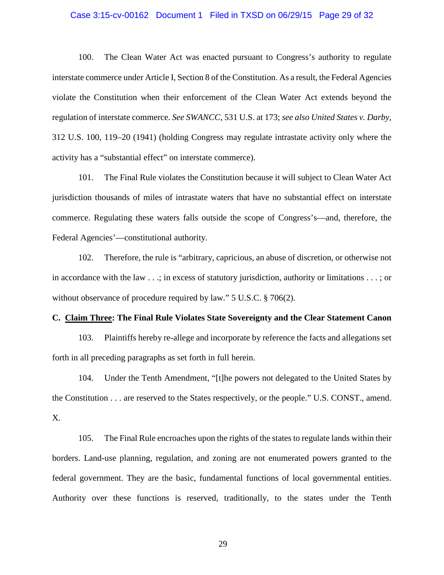#### Case 3:15-cv-00162 Document 1 Filed in TXSD on 06/29/15 Page 29 of 32

100. The Clean Water Act was enacted pursuant to Congress's authority to regulate interstate commerce under Article I, Section 8 of the Constitution. As a result, the Federal Agencies violate the Constitution when their enforcement of the Clean Water Act extends beyond the regulation of interstate commerce. *See SWANCC*, 531 U.S. at 173; *see also United States v. Darby*, 312 U.S. 100, 119–20 (1941) (holding Congress may regulate intrastate activity only where the activity has a "substantial effect" on interstate commerce).

101. The Final Rule violates the Constitution because it will subject to Clean Water Act jurisdiction thousands of miles of intrastate waters that have no substantial effect on interstate commerce. Regulating these waters falls outside the scope of Congress's—and, therefore, the Federal Agencies'—constitutional authority.

102. Therefore, the rule is "arbitrary, capricious, an abuse of discretion, or otherwise not in accordance with the law . . .; in excess of statutory jurisdiction, authority or limitations . . . ; or without observance of procedure required by law." 5 U.S.C. § 706(2).

#### **C. Claim Three: The Final Rule Violates State Sovereignty and the Clear Statement Canon**

103. Plaintiffs hereby re-allege and incorporate by reference the facts and allegations set forth in all preceding paragraphs as set forth in full herein.

104. Under the Tenth Amendment, "[t]he powers not delegated to the United States by the Constitution . . . are reserved to the States respectively, or the people." U.S. CONST., amend. X.

105. The Final Rule encroaches upon the rights of the states to regulate lands within their borders. Land-use planning, regulation, and zoning are not enumerated powers granted to the federal government. They are the basic, fundamental functions of local governmental entities. Authority over these functions is reserved, traditionally, to the states under the Tenth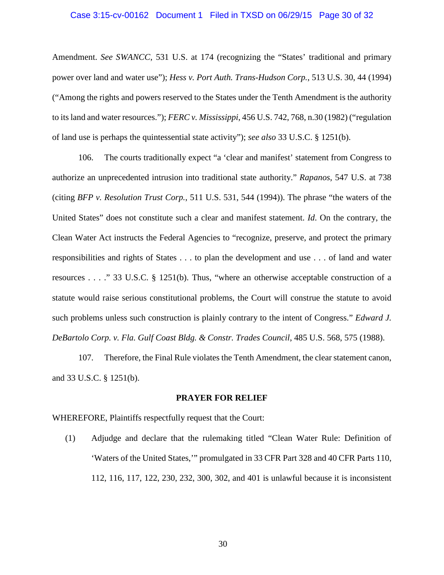#### Case 3:15-cv-00162 Document 1 Filed in TXSD on 06/29/15 Page 30 of 32

Amendment. *See SWANCC*, 531 U.S. at 174 (recognizing the "States' traditional and primary power over land and water use"); *Hess v. Port Auth. Trans-Hudson Corp.*, 513 U.S. 30, 44 (1994) ("Among the rights and powers reserved to the States under the Tenth Amendment is the authority to its land and water resources."); *FERC v. Mississippi*, 456 U.S. 742, 768, n.30 (1982) ("regulation of land use is perhaps the quintessential state activity"); *see also* 33 U.S.C. § 1251(b).

106. The courts traditionally expect "a 'clear and manifest' statement from Congress to authorize an unprecedented intrusion into traditional state authority." *Rapanos*, 547 U.S. at 738 (citing *BFP v. Resolution Trust Corp.*, 511 U.S. 531, 544 (1994)). The phrase "the waters of the United States" does not constitute such a clear and manifest statement. *Id*. On the contrary, the Clean Water Act instructs the Federal Agencies to "recognize, preserve, and protect the primary responsibilities and rights of States . . . to plan the development and use . . . of land and water resources . . . ." 33 U.S.C. § 1251(b). Thus, "where an otherwise acceptable construction of a statute would raise serious constitutional problems, the Court will construe the statute to avoid such problems unless such construction is plainly contrary to the intent of Congress." *Edward J. DeBartolo Corp. v. Fla. Gulf Coast Bldg. & Constr. Trades Council*, 485 U.S. 568, 575 (1988).

107. Therefore, the Final Rule violates the Tenth Amendment, the clear statement canon, and 33 U.S.C. § 1251(b).

#### **PRAYER FOR RELIEF**

WHEREFORE, Plaintiffs respectfully request that the Court:

(1) Adjudge and declare that the rulemaking titled "Clean Water Rule: Definition of 'Waters of the United States,'" promulgated in 33 CFR Part 328 and 40 CFR Parts 110, 112, 116, 117, 122, 230, 232, 300, 302, and 401 is unlawful because it is inconsistent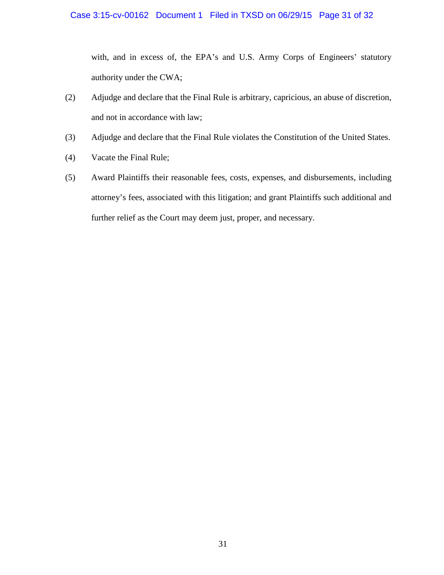# Case 3:15-cv-00162 Document 1 Filed in TXSD on 06/29/15 Page 31 of 32

with, and in excess of, the EPA's and U.S. Army Corps of Engineers' statutory authority under the CWA;

- (2) Adjudge and declare that the Final Rule is arbitrary, capricious, an abuse of discretion, and not in accordance with law;
- (3) Adjudge and declare that the Final Rule violates the Constitution of the United States.
- (4) Vacate the Final Rule;
- (5) Award Plaintiffs their reasonable fees, costs, expenses, and disbursements, including attorney's fees, associated with this litigation; and grant Plaintiffs such additional and further relief as the Court may deem just, proper, and necessary.